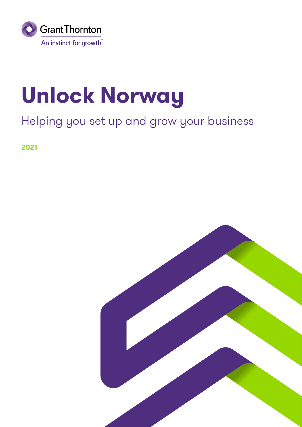

# **Unlock Norway**

### Helping you set up and grow your business

2021

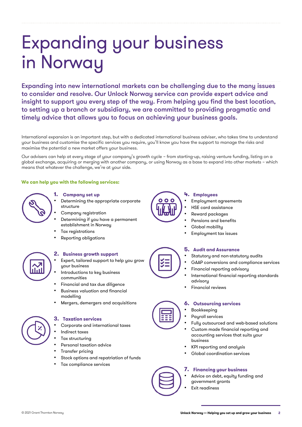## **Expanding your business** in Norway

Expanding into new international markets can be challenging due to the many issues to consider and resolve. Our Unlock Norway service can provide expert advice and insight to support you every step of the way. From helping you find the best location, to setting up a branch or subsidiary, we are committed to providing pragmatic and timely advice that allows you to focus on achieving your business goals.

International expansion is an important step, but with a dedicated international business adviser, who takes time to understand your business and customise the specific services you require, you'll know you have the support to manage the risks and maximise the potential a new market offers your business.

Our advisers can help at every stage of your company's growth cycle – from starting-up, raising venture funding, listing on a global exchange, acquiring or merging with another company, or using Norway as a base to expand into other markets – which means that whatever the challenge, we're at your side.

#### We can help you with the following services:



#### 1. Company set up

- Determining the appropriate corporate structure
- Company registration
- Determining if you have a permanent establishment in Norway
- Tax registrations
- Reporting obligations



#### 2. Business growth support

- Expert, tailored support to help you grow your business
- Introductions to key business communities
- Financial and tax due diligence
- Business valuation and financial modelling
- Mergers, demergers and acquisitions

#### 3. Taxation services

- Corporate and international taxes
- Indirect taxes
- Tax structuring
- Personal taxation advice
- Transfer pricing
- Stock options and repatriation of funds
- Tax compliance services



#### 4. Employees

- Employment agreements
- HSE card assistance
- Reward packages
- Pensions and benefits
- Global mobility
- Employment tax issues

#### 5. Audit and Assurance

- Statutory and non-statutory audits
- GAAP conversions and compliance services
- Financial reporting advisory
- International financial reporting standards advisory
- Financial reviews

#### **6.** Outsourcing services

- **Bookkeeping**
- Payroll services
- Fully outsourced and web-based solutions
- Custom made financial reporting and accounting services that suits your business
- KPI reporting and analysis
- Global coordination services

#### 7. Financing your business

- Advice on debt, equity funding and government grants
- Exit readiness

© 2021 Grant Thornton Norway



 $\leq$